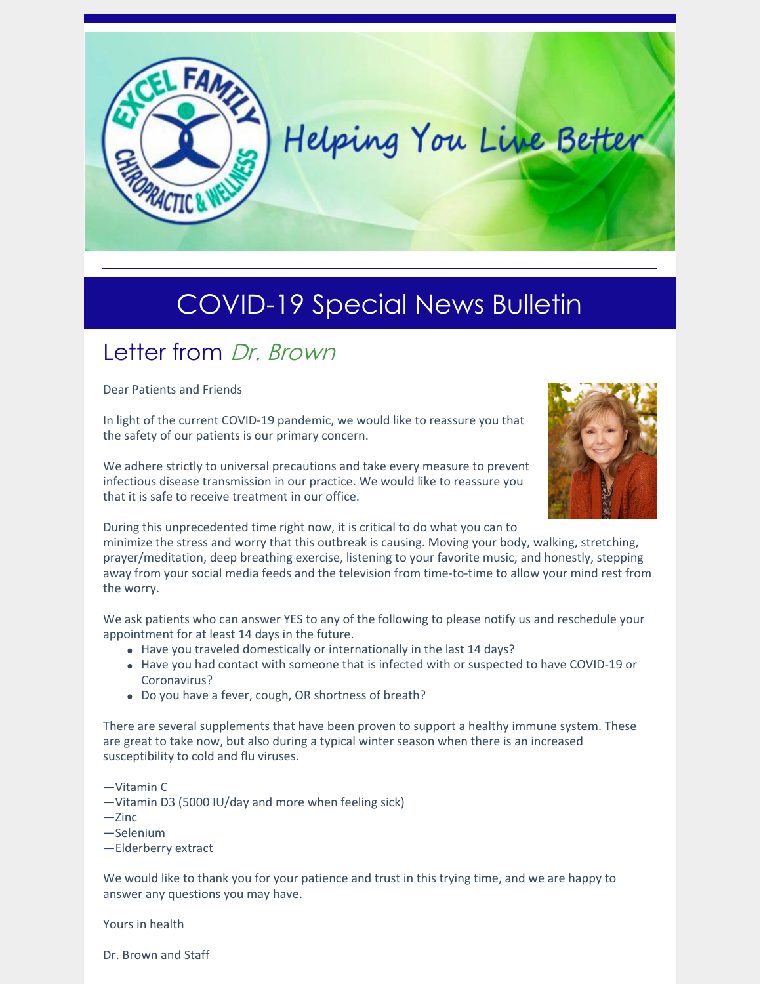

## COVID-19 Special News Bulletin

## Letter from Dr. Brown

Dear Patients and Friends

In light of the current COVID-19 pandemic, we would like to reassure you that the safety of our patients is our primary concern.

We adhere strictly to universal precautions and take every measure to prevent infectious disease transmission in our practice. We would like to reassure you that it is safe to receive treatment in our office.



During this unprecedented time right now, it is critical to do what you can to

minimize the stress and worry that this outbreak is causing. Moving your body, walking, stretching, prayer/meditation, deep breathing exercise, listening to your favorite music, and honestly, stepping away from your social media feeds and the television from time-to-time to allow your mind rest from the worry.

We ask patients who can answer YES to any of the following to please notify us and reschedule your appointment for at least 14 days in the future.

- Have you traveled domestically or internationally in the last 14 days?
- Have you had contact with someone that is infected with or suspected to have COVID-19 or Coronavirus?
- Do you have a fever, cough, OR shortness of breath?

There are several supplements that have been proven to support a healthy immune system. These are great to take now, but also during a typical winter season when there is an increased susceptibility to cold and flu viruses.

—Vitamin C

- —Vitamin D3 (5000 IU/day and more when feeling sick)
- $-$ Zinc
- —Selenium

—Elderberry extract

We would like to thank you for your patience and trust in this trying time, and we are happy to answer any questions you may have.

Yours in health

Dr. Brown and Staff